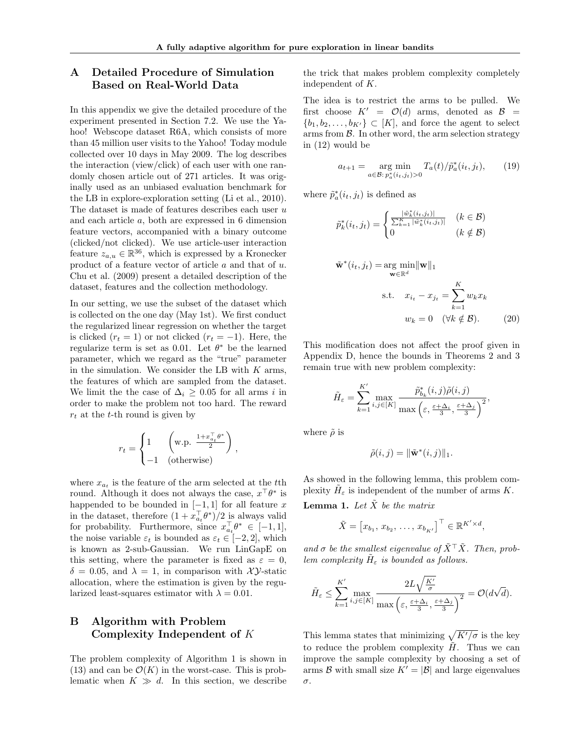# A Detailed Procedure of Simulation Based on Real-World Data

In this appendix we give the detailed procedure of the experiment presented in Section 7.2. We use the Yahoo! Webscope dataset R6A, which consists of more than 45 million user visits to the Yahoo! Today module collected over 10 days in May 2009. The log describes the interaction (view/click) of each user with one randomly chosen article out of 271 articles. It was originally used as an unbiased evaluation benchmark for the LB in explore-exploration setting (Li et al., 2010). The dataset is made of features describes each user *u* and each article *a*, both are expressed in 6 dimension feature vectors, accompanied with a binary outcome (clicked/not clicked). We use article-user interaction feature  $z_{a,u} \in \mathbb{R}^{36}$ , which is expressed by a Kronecker product of a feature vector of article *a* and that of *u*. Chu et al. (2009) present a detailed description of the dataset, features and the collection methodology.

In our setting, we use the subset of the dataset which is collected on the one day (May 1st). We first conduct the regularized linear regression on whether the target is clicked  $(r_t = 1)$  or not clicked  $(r_t = -1)$ . Here, the regularize term is set as 0.01. Let  $\theta^*$  be the learned parameter, which we regard as the "true" parameter in the simulation. We consider the LB with *K* arms, the features of which are sampled from the dataset. We limit the the case of  $\Delta_i \geq 0.05$  for all arms *i* in order to make the problem not too hard. The reward *r<sup>t</sup>* at the *t*-th round is given by

$$
r_t = \begin{cases} 1 & \left(\text{w.p. } \frac{1+x_{a_t}^\top \theta^*}{2}\right), \\ -1 & \text{(otherwise)} \end{cases}
$$

where  $x_{a_t}$  is the feature of the arm selected at the *t*<sup>th</sup> round. Although it does not always the case,  $x^{\top}\theta^*$  is happended to be bounded in  $[-1, 1]$  for all feature x in the dataset, therefore  $(1 + x_{a_t}^{\dagger} \theta^*)/2$  is always valid for probability. Furthermore, since  $x_{a_t}^{\dagger} \theta^* \in [-1, 1],$ the noise variable  $\varepsilon_t$  is bounded as  $\varepsilon_t \in [-2, 2]$ , which is known as 2-sub-Gaussian. We run LinGapE on this setting, where the parameter is fixed as  $\varepsilon = 0$ ,  $\delta = 0.05$ , and  $\lambda = 1$ , in comparison with *XY*-static allocation, where the estimation is given by the regularized least-squares estimator with  $\lambda = 0.01$ .

# B Algorithm with Problem Complexity Independent of *K*

The problem complexity of Algorithm 1 is shown in  $(13)$  and can be  $\mathcal{O}(K)$  in the worst-case. This is problematic when  $K \gg d$ . In this section, we describe the trick that makes problem complexity completely independent of *K*.

The idea is to restrict the arms to be pulled. We first choose  $K' = \mathcal{O}(d)$  arms, denoted as  $\mathcal{B} =$  ${b_1, b_2, \ldots, b_{K'}\} \subset [K]$ , and force the agent to select arms from  $\beta$ . In other word, the arm selection strategy in (12) would be

$$
a_{t+1} = \underset{a \in \mathcal{B}: \, p_a^*(i_t, j_t) > 0}{\arg \min} T_a(t) / \tilde{p}_a^*(i_t, j_t), \qquad (19)
$$

where  $\tilde{p}_a^*(i_t, j_t)$  is defined as

$$
\tilde{p}_k^*(i_t, j_t) = \begin{cases}\n\frac{|\tilde{w}_k^*(i_t, j_t)|}{\sum_{k=1}^K |\tilde{w}_k^*(i_t, j_t)|} & (k \in \mathcal{B}) \\
0 & (k \notin \mathcal{B})\n\end{cases}
$$

$$
\tilde{\mathbf{w}}^*(i_t, j_t) = \underset{\mathbf{w} \in \mathbb{R}^d}{\arg \min} ||\mathbf{w}||_1
$$
\n
$$
\text{s.t.} \quad x_{i_t} - x_{j_t} = \sum_{k=1}^K w_k x_k
$$
\n
$$
w_k = 0 \quad (\forall k \notin \mathcal{B}). \tag{20}
$$

This modification does not affect the proof given in Appendix D, hence the bounds in Theorems 2 and 3 remain true with new problem complexity:

$$
\tilde{H}_{\varepsilon} = \sum_{k=1}^{K'} \max_{i,j \in [K]} \frac{\tilde{p}_{b_k}^*(i,j)\tilde{\rho}(i,j)}{\max\left(\varepsilon, \frac{\varepsilon + \Delta_i}{3}, \frac{\varepsilon + \Delta_j}{3}\right)^2},
$$

where  $\tilde{\rho}$  is

$$
\tilde{\rho}(i,j) = \|\tilde{\mathbf{w}}^*(i,j)\|_1.
$$

As showed in the following lemma, this problem complexity  $H_{\varepsilon}$  is independent of the number of arms *K*.

**Lemma 1.** Let  $\tilde{X}$  be the matrix

$$
\tilde{X} = [x_{b_1}, x_{b_2}, \dots, x_{b_{K'}}]^\top \in \mathbb{R}^{K' \times d}
$$

and  $\sigma$  be the smallest eigenvalue of  $\tilde{X}^{\top} \tilde{X}$ . Then, prob*lem complexity*  $H_{\varepsilon}$  *is bounded as follows.* 

$$
\tilde{H}_{\varepsilon} \leq \sum_{k=1}^{K'} \max_{i,j \in [K]} \frac{2L\sqrt{\frac{K'}{\sigma}}}{\max\left(\varepsilon, \frac{\varepsilon + \Delta_i}{3}, \frac{\varepsilon + \Delta_j}{3}\right)^2} = \mathcal{O}(d\sqrt{d}).
$$

This lemma states that minimizing  $\sqrt{K'/\sigma}$  is the key to reduce the problem complexity  $\tilde{H}$ . Thus we can improve the sample complexity by choosing a set of arms *B* with small size  $K' = |\mathcal{B}|$  and large eigenvalues  $\sigma$ .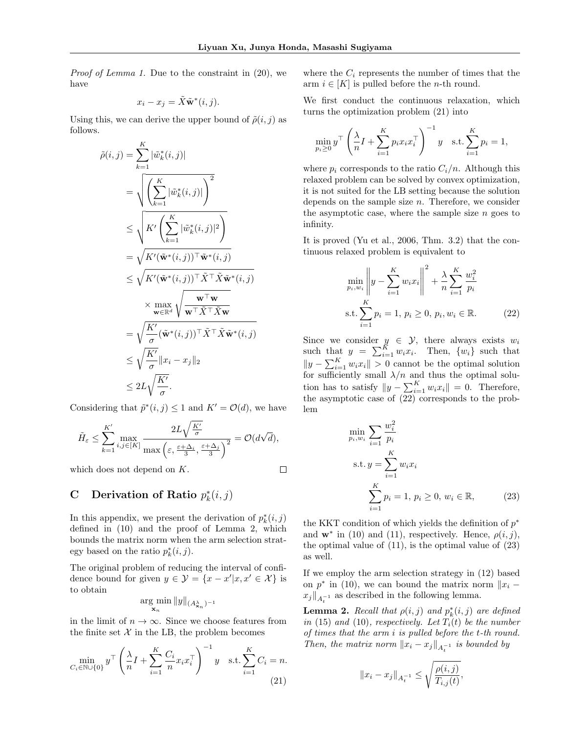*Proof of Lemma 1.* Due to the constraint in (20), we have

$$
x_i - x_j = \tilde{X} \tilde{\mathbf{w}}^*(i, j).
$$

Using this, we can derive the upper bound of  $\tilde{\rho}(i, j)$  as follows.

$$
\tilde{\rho}(i,j) = \sum_{k=1}^{K} |\tilde{w}_k^*(i,j)|
$$
\n
$$
= \sqrt{\left(\sum_{k=1}^{K} |\tilde{w}_k^*(i,j)|\right)^2}
$$
\n
$$
\leq \sqrt{K' \left(\sum_{k=1}^{K} |\tilde{w}_k^*(i,j)|^2\right)}
$$
\n
$$
= \sqrt{K'(\tilde{\mathbf{w}}^*(i,j))^\top \tilde{\mathbf{w}}^*(i,j)}
$$
\n
$$
\leq \sqrt{K'(\tilde{\mathbf{w}}^*(i,j))^\top \tilde{X}^\top \tilde{X} \tilde{\mathbf{w}}^*(i,j)}
$$
\n
$$
\times \max_{\mathbf{w} \in \mathbb{R}^d} \sqrt{\frac{\mathbf{w}^\top \mathbf{w}}{\mathbf{w}^\top \tilde{X}^\top \tilde{X} \mathbf{w}}}
$$
\n
$$
= \sqrt{\frac{K'}{\sigma}} (\tilde{\mathbf{w}}^*(i,j))^\top \tilde{X}^\top \tilde{X} \tilde{\mathbf{w}}^*(i,j)
$$
\n
$$
\leq \sqrt{\frac{K'}{\sigma}} \|x_i - x_j\|_2
$$
\n
$$
\leq 2L \sqrt{\frac{K'}{\sigma}}.
$$

Considering that  $\tilde{p}^*(i, j) \leq 1$  and  $K' = \mathcal{O}(d)$ , we have

$$
\tilde{H}_{\varepsilon} \leq \sum_{k=1}^{K'} \max_{i,j \in [K]} \frac{2L\sqrt{\frac{K'}{\sigma}}}{\max\left(\varepsilon, \frac{\varepsilon + \Delta_i}{3}, \frac{\varepsilon + \Delta_j}{3}\right)^2} = \mathcal{O}(d\sqrt{d}),
$$

which does not depend on *K*.

 $\Box$ 

# C Derivation of Ratio  $p_k^*(i,j)$

In this appendix, we present the derivation of  $p_k^*(i, j)$ defined in (10) and the proof of Lemma 2, which bounds the matrix norm when the arm selection strategy based on the ratio  $p_k^*(i, j)$ .

The original problem of reducing the interval of confidence bound for given  $y \in \mathcal{Y} = \{x - x' | x, x' \in \mathcal{X}\}\)$  is to obtain

$$
\argmin_{\mathbf{x}_n} \|y\|_{(A_{\mathbf{x}_n}^{\lambda})^{-1}}
$$

in the limit of  $n \to \infty$ . Since we choose features from the finite set  $X$  in the LB, the problem becomes

$$
\min_{C_i \in \mathbb{N} \cup \{0\}} y^\top \left(\frac{\lambda}{n} I + \sum_{i=1}^K \frac{C_i}{n} x_i x_i^\top\right)^{-1} y \quad \text{s.t.} \sum_{i=1}^K C_i = n. \tag{21}
$$

where the  $C_i$  represents the number of times that the arm  $i \in [K]$  is pulled before the *n*-th round.

We first conduct the continuous relaxation, which turns the optimization problem (21) into

$$
\min_{p_i \ge 0} y^\top \left(\frac{\lambda}{n} I + \sum_{i=1}^K p_i x_i x_i^\top\right)^{-1} y \quad \text{s.t.} \sum_{i=1}^K p_i = 1,
$$

where  $p_i$  corresponds to the ratio  $C_i/n$ . Although this relaxed problem can be solved by convex optimization, it is not suited for the LB setting because the solution depends on the sample size *n*. Therefore, we consider the asymptotic case, where the sample size *n* goes to infinity.

It is proved (Yu et al., 2006, Thm. 3.2) that the continuous relaxed problem is equivalent to

$$
\min_{p_i, w_i} \left\| y - \sum_{i=1}^K w_i x_i \right\|^2 + \frac{\lambda}{n} \sum_{i=1}^K \frac{w_i^2}{p_i}
$$
\n
$$
\text{s.t.} \sum_{i=1}^K p_i = 1, \ p_i \ge 0, \ p_i, w_i \in \mathbb{R}.\tag{22}
$$

Since we consider  $y \in \mathcal{Y}$ , there always exists  $w_i$ such that  $y = \sum_{i=1}^{K} w_i x_i$ . Then,  $\{w_i\}$  such that  $||y - \sum_{i=1}^{K} w_i x_i|| > 0$  cannot be the optimal solution for sufficiently small  $\lambda/n$  and thus the optimal solution has to satisfy  $||y - \sum_{i=1}^{K} w_i x_i|| = 0$ . Therefore, the asymptotic case of (22) corresponds to the problem

$$
\min_{p_i, w_i} \sum_{i=1}^{\infty} \frac{w_i^2}{p_i}
$$
\n
$$
\text{s.t. } y = \sum_{i=1}^K w_i x_i
$$
\n
$$
\sum_{i=1}^K p_i = 1, \ p_i \ge 0, \ w_i \in \mathbb{R}, \tag{23}
$$

the KKT condition of which yields the definition of  $p^*$ and  $\mathbf{w}^*$  in (10) and (11), respectively. Hence,  $\rho(i, j)$ , the optimal value of  $(11)$ , is the optimal value of  $(23)$ as well.

If we employ the arm selection strategy in (12) based on  $p^*$  in (10), we can bound the matrix norm  $||x_i$  $x_j\|_{A_t^{-1}}$  as described in the following lemma.

**Lemma 2.** *Recall that*  $\rho(i, j)$  *and*  $p_k^*(i, j)$  *are defined in* (15) *and* (10)*, respectively. Let*  $T_i(t)$  *be the number of times that the arm i is pulled before the t-th round. Then, the matrix norm*  $||x_i - x_j||_{A_t^{-1}}$  *is bounded by* 

$$
||x_i - x_j||_{A_t^{-1}} \le \sqrt{\frac{\rho(i,j)}{T_{i,j}(t)}},
$$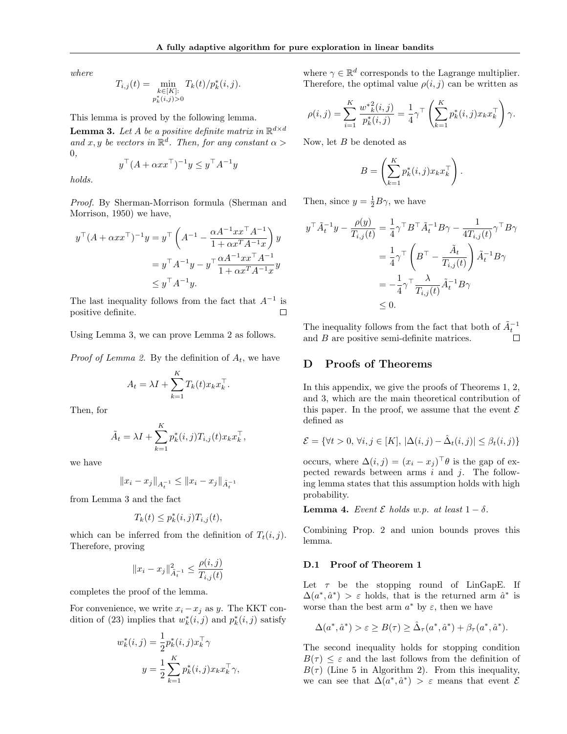*where*

$$
T_{i,j}(t) = \min_{\substack{k \in [K]: \\ p_k^*(i,j) > 0}} T_k(t) / p_k^*(i,j).
$$

This lemma is proved by the following lemma.

**Lemma 3.** Let *A* be a positive definite matrix in  $\mathbb{R}^{d \times d}$ *and*  $x, y$  *be vectors in*  $\mathbb{R}^d$ *. Then, for any constant*  $\alpha$  > 0*,*

$$
y^\top (A + \alpha x x^\top)^{-1} y \le y^\top A^{-1} y
$$

*holds.*

*Proof.* By Sherman-Morrison formula (Sherman and Morrison, 1950) we have,

$$
y^{\top} (A + \alpha x x^{\top})^{-1} y = y^{\top} \left( A^{-1} - \frac{\alpha A^{-1} x x^{\top} A^{-1}}{1 + \alpha x^T A^{-1} x} \right) y
$$
  
=  $y^{\top} A^{-1} y - y^{\top} \frac{\alpha A^{-1} x x^{\top} A^{-1}}{1 + \alpha x^T A^{-1} x} y$   
 $\leq y^{\top} A^{-1} y.$ 

The last inequality follows from the fact that  $A^{-1}$  is positive definite.  $\Box$ 

Using Lemma 3, we can prove Lemma 2 as follows.

*Proof of Lemma 2.* By the definition of  $A_t$ , we have

$$
A_t = \lambda I + \sum_{k=1}^K T_k(t) x_k x_k^\top.
$$

Then, for

$$
\tilde{A}_t = \lambda I + \sum_{k=1}^K p_k^*(i, j) T_{i,j}(t) x_k x_k^{\top},
$$

we have

$$
||x_i - x_j||_{A_t^{-1}} \leq ||x_i - x_j||_{\tilde{A}_t^{-1}}
$$

from Lemma 3 and the fact

$$
T_k(t) \le p_k^*(i,j)T_{i,j}(t),
$$

which can be inferred from the definition of  $T_t(i, j)$ . Therefore, proving

$$
||x_i - x_j||_{\tilde{A}_t^{-1}}^2 \le \frac{\rho(i,j)}{T_{i,j}(t)}
$$

completes the proof of the lemma.

For convenience, we write  $x_i - x_j$  as *y*. The KKT condition of (23) implies that  $w_k^*(i, j)$  and  $p_k^*(i, j)$  satisfy

$$
w_k^*(i, j) = \frac{1}{2} p_k^*(i, j) x_k^\top \gamma
$$
  

$$
y = \frac{1}{2} \sum_{k=1}^K p_k^*(i, j) x_k x_k^\top \gamma,
$$

where  $\gamma \in \mathbb{R}^d$  corresponds to the Lagrange multiplier. Therefore, the optimal value  $\rho(i, j)$  can be written as

$$
\rho(i,j) = \sum_{i=1}^{K} \frac{w^*_{k}^{2}(i,j)}{p^*_{k}(i,j)} = \frac{1}{4} \gamma^{\top} \left( \sum_{k=1}^{K} p^*_{k}(i,j) x_k x_k^{\top} \right) \gamma.
$$

Now, let *B* be denoted as

$$
B = \left(\sum_{k=1}^K p_k^*(i,j)x_k x_k^\top\right).
$$

Then, since  $y = \frac{1}{2}B\gamma$ , we have

$$
y^{\top} \tilde{A}_t^{-1} y - \frac{\rho(y)}{T_{i,j}(t)} = \frac{1}{4} \gamma^{\top} B^{\top} \tilde{A}_t^{-1} B \gamma - \frac{1}{4T_{i,j}(t)} \gamma^{\top} B \gamma
$$
  

$$
= \frac{1}{4} \gamma^{\top} \left( B^{\top} - \frac{\tilde{A}_t}{T_{i,j}(t)} \right) \tilde{A}_t^{-1} B \gamma
$$
  

$$
= -\frac{1}{4} \gamma^{\top} \frac{\lambda}{T_{i,j}(t)} \tilde{A}_t^{-1} B \gamma
$$
  

$$
\leq 0.
$$

The inequality follows from the fact that both of  $\tilde{A}_t^{-1}$ and *B* are positive semi-definite matrices.

### D Proofs of Theorems

In this appendix, we give the proofs of Theorems 1, 2, and 3, which are the main theoretical contribution of this paper. In the proof, we assume that the event  $\mathcal E$ defined as

$$
\mathcal{E} = \{ \forall t > 0, \, \forall i,j \in [K], \, |\Delta(i,j) - \hat{\Delta}_t(i,j)| \leq \beta_t(i,j) \}
$$

occurs, where  $\Delta(i, j) = (x_i - x_j)^T \theta$  is the gap of expected rewards between arms *i* and *j*. The following lemma states that this assumption holds with high probability.

**Lemma 4.** Event  $\mathcal E$  holds w.p. at least  $1 - \delta$ .

Combining Prop. 2 and union bounds proves this lemma.

#### D.1 Proof of Theorem 1

Let  $\tau$  be the stopping round of LinGapE. If  $\Delta(a^*, \hat{a}^*) > \varepsilon$  holds, that is the returned arm  $\hat{a}^*$  is worse than the best arm  $a^*$  by  $\varepsilon$ , then we have

$$
\Delta(a^*, \hat{a}^*) > \varepsilon \ge B(\tau) \ge \hat{\Delta}_{\tau}(a^*, \hat{a}^*) + \beta_{\tau}(a^*, \hat{a}^*).
$$

The second inequality holds for stopping condition  $B(\tau) \leq \varepsilon$  and the last follows from the definition of  $B(\tau)$  (Line 5 in Algorithm 2). From this inequality, we can see that  $\Delta(a^*, \hat{a}^*) > \varepsilon$  means that event  $\mathcal E$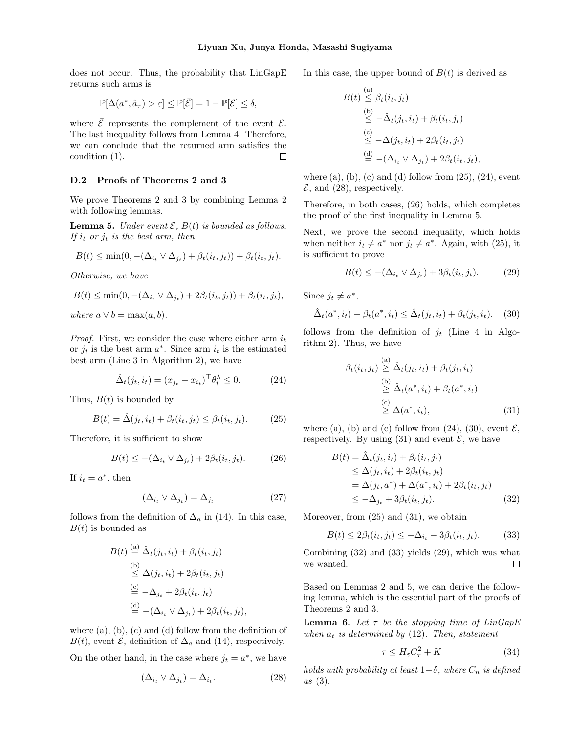does not occur. Thus, the probability that LinGapE returns such arms is

$$
\mathbb{P}[\Delta(a^*, \hat{a}_\tau) > \varepsilon] \le \mathbb{P}[\bar{\mathcal{E}}] = 1 - \mathbb{P}[\mathcal{E}] \le \delta,
$$

where  $\bar{\mathcal{E}}$  represents the complement of the event  $\mathcal{E}$ . The last inequality follows from Lemma 4. Therefore, we can conclude that the returned arm satisfies the condition (1).  $\Box$ 

#### D.2 Proofs of Theorems 2 and 3

We prove Theorems 2 and 3 by combining Lemma 2 with following lemmas.

**Lemma 5.** *Under event*  $\mathcal{E}$ ,  $B(t)$  *is bounded as follows. If*  $i_t$  *or*  $j_t$  *is the best arm, then* 

$$
B(t) \leq \min(0, -(\Delta_{i_t} \vee \Delta_{j_t}) + \beta_t(i_t, j_t)) + \beta_t(i_t, j_t).
$$

*Otherwise, we have*

$$
B(t) \leq \min(0, -(\Delta_{i_t} \vee \Delta_{j_t}) + 2\beta_t(i_t, j_t)) + \beta_t(i_t, j_t),
$$

*where*  $a \vee b = \max(a, b)$ *.* 

*Proof.* First, we consider the case where either arm *i<sup>t</sup>* or  $j_t$  is the best arm  $a^*$ . Since arm  $i_t$  is the estimated best arm (Line 3 in Algorithm 2), we have

$$
\hat{\Delta}_t(j_t, i_t) = (x_{j_t} - x_{i_t})^\top \theta_t^{\lambda} \le 0.
$$
\n(24)

Thus,  $B(t)$  is bounded by

$$
B(t) = \hat{\Delta}(j_t, i_t) + \beta_t(i_t, j_t) \leq \beta_t(i_t, j_t). \tag{25}
$$

Therefore, it is sufficient to show

$$
B(t) \leq -(\Delta_{i_t} \vee \Delta_{j_t}) + 2\beta_t(i_t, j_t). \tag{26}
$$

If  $i_t = a^*$ , then

$$
\left(\Delta_{i_t} \vee \Delta_{j_t}\right) = \Delta_{j_t} \tag{27}
$$

follows from the definition of  $\Delta_a$  in (14). In this case,  $B(t)$  is bounded as

$$
B(t) \stackrel{\text{(a)}}{=} \hat{\Delta}_t(j_t, i_t) + \beta_t(i_t, j_t)
$$
  
\n
$$
\stackrel{\text{(b)}}{\leq} \Delta(j_t, i_t) + 2\beta_t(i_t, j_t)
$$
  
\n
$$
\stackrel{\text{(c)}}{=} -\Delta_{j_t} + 2\beta_t(i_t, j_t)
$$
  
\n
$$
\stackrel{\text{(d)}}{=} -(\Delta_{i_t} \vee \Delta_{j_t}) + 2\beta_t(i_t, j_t),
$$

where  $(a)$ ,  $(b)$ ,  $(c)$  and  $(d)$  follow from the definition of  $B(t)$ , event  $\mathcal{E}$ , definition of  $\Delta_a$  and (14), respectively.

On the other hand, in the case where  $j_t = a^*$ , we have

$$
(\Delta_{i_t} \vee \Delta_{j_t}) = \Delta_{i_t}.
$$
\n(28)

In this case, the upper bound of  $B(t)$  is derived as

$$
B(t) \stackrel{\text{(a)}}{\leq} \beta_t(i_t, j_t)
$$
  
\n
$$
\stackrel{\text{(b)}}{\leq} -\hat{\Delta}_t(j_t, i_t) + \beta_t(i_t, j_t)
$$
  
\n
$$
\stackrel{\text{(c)}}{\leq} -\Delta(j_t, i_t) + 2\beta_t(i_t, j_t)
$$
  
\n
$$
\stackrel{\text{(d)}}{=} -(\Delta_{i_t} \vee \Delta_{j_t}) + 2\beta_t(i_t, j_t),
$$

where  $(a)$ ,  $(b)$ ,  $(c)$  and  $(d)$  follow from  $(25)$ ,  $(24)$ , event  $\mathcal{E}$ , and (28), respectively.

Therefore, in both cases, (26) holds, which completes the proof of the first inequality in Lemma 5.

Next, we prove the second inequality, which holds when neither  $i_t \neq a^*$  nor  $j_t \neq a^*$ . Again, with (25), it is sufficient to prove

$$
B(t) \le -(\Delta_{i_t} \vee \Delta_{j_t}) + 3\beta_t(i_t, j_t). \tag{29}
$$

Since  $j_t \neq a^*$ ,

$$
\hat{\Delta}_t(a^*, i_t) + \beta_t(a^*, i_t) \le \hat{\Delta}_t(j_t, i_t) + \beta_t(j_t, i_t). \tag{30}
$$

follows from the definition of  $j_t$  (Line 4 in Algorithm 2). Thus, we have

$$
\beta_t(i_t, j_t) \stackrel{\text{(a)}}{\geq} \hat{\Delta}_t(j_t, i_t) + \beta_t(j_t, i_t)
$$
  
\n
$$
\stackrel{\text{(b)}}{\geq} \hat{\Delta}_t(a^*, i_t) + \beta_t(a^*, i_t)
$$
  
\n
$$
\stackrel{\text{(c)}}{\geq} \Delta(a^*, i_t), \tag{31}
$$

where (a), (b) and (c) follow from  $(24)$ ,  $(30)$ , event  $\mathcal{E}$ , respectively. By using  $(31)$  and event  $\mathcal{E}$ , we have

$$
B(t) = \hat{\Delta}_t(j_t, i_t) + \beta_t(i_t, j_t)
$$
  
\n
$$
\leq \Delta(j_t, i_t) + 2\beta_t(i_t, j_t)
$$
  
\n
$$
= \Delta(j_t, a^*) + \Delta(a^*, i_t) + 2\beta_t(i_t, j_t)
$$
  
\n
$$
\leq -\Delta_{j_t} + 3\beta_t(i_t, j_t).
$$
 (32)

Moreover, from (25) and (31), we obtain

$$
B(t) \le 2\beta_t(i_t, j_t) \le -\Delta_{i_t} + 3\beta_t(i_t, j_t). \tag{33}
$$

Combining (32) and (33) yields (29), which was what we wanted.  $\Box$ 

Based on Lemmas 2 and 5, we can derive the following lemma, which is the essential part of the proofs of Theorems 2 and 3.

**Lemma 6.** Let  $\tau$  be the stopping time of  $LinGapE$ *when*  $a_t$  *is determined by* (12)*. Then, statement* 

$$
\tau \le H_{\varepsilon} C_{\tau}^2 + K \tag{34}
$$

*holds with probability at least*  $1-\delta$ *, where*  $C_n$  *is defined as* (3)*.*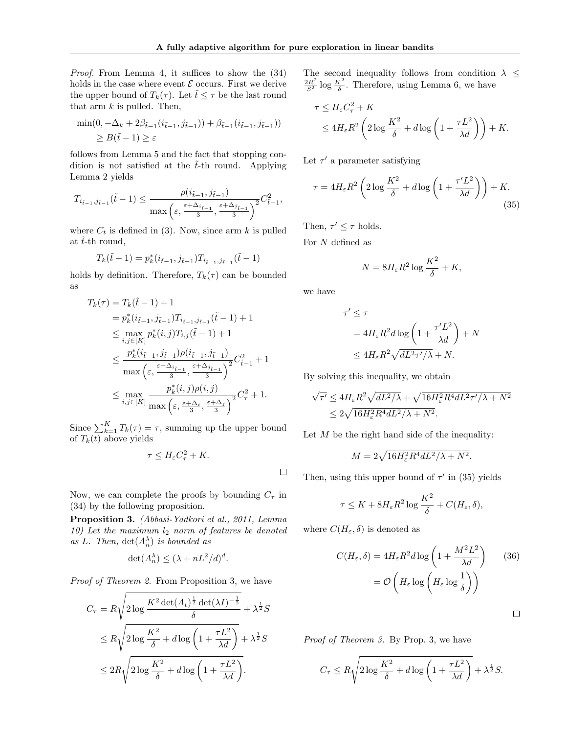*Proof.* From Lemma 4, it suffices to show the  $(34)$ holds in the case where event  $\mathcal E$  occurs. First we derive the upper bound of  $T_k(\tau)$ . Let  $\tilde{t} \leq \tau$  be the last round that arm  $k$  is pulled. Then,

$$
\min(0, -\Delta_k + 2\beta_{\tilde{t}-1}(i_{\tilde{t}-1}, j_{\tilde{t}-1})) + \beta_{\tilde{t}-1}(i_{\tilde{t}-1}, j_{\tilde{t}-1}))
$$
  
\n
$$
\geq B(\tilde{t}-1) \geq \varepsilon
$$

follows from Lemma 5 and the fact that stopping condition is not satisfied at the  $\tilde{t}$ -th round. Applying Lemma 2 yields

$$
T_{i_{\tilde{t}-1},j_{\tilde{t}-1}}(\tilde{t}-1) \le \frac{\rho(i_{\tilde{t}-1},j_{\tilde{t}-1})}{\max\left(\varepsilon,\frac{\varepsilon + \Delta_{i_{\tilde{t}-1}}}{3},\frac{\varepsilon + \Delta_{j_{\tilde{t}-1}}}{3}\right)^2}C_{\tilde{t}-1}^2,
$$

where  $C_t$  is defined in (3). Now, since arm  $k$  is pulled at  $\tilde{t}$ -th round,

$$
T_k(\tilde{t}-1) = p_k^*(i_{\tilde{t}-1}, j_{\tilde{t}-1}) T_{i_{\tilde{t}-1}, j_{\tilde{t}-1}}(\tilde{t}-1)
$$

holds by definition. Therefore,  $T_k(\tau)$  can be bounded as

$$
T_k(\tau) = T_k(\tilde{t} - 1) + 1
$$
  
\n
$$
= p_k^*(i_{\tilde{t}-1}, j_{\tilde{t}-1}) T_{i_{\tilde{t}-1}, j_{\tilde{t}-1}}(\tilde{t} - 1) + 1
$$
  
\n
$$
\leq \max_{i,j \in [K]} p_k^*(i, j) T_{i,j}(\tilde{t} - 1) + 1
$$
  
\n
$$
\leq \frac{p_k^*(i_{\tilde{t}-1}, j_{\tilde{t}-1}) \rho(i_{\tilde{t}-1}, j_{\tilde{t}-1})}{\max \left(\varepsilon, \frac{\varepsilon + \Delta_{i_{\tilde{t}-1}}}{3}, \frac{\varepsilon + \Delta_{j_{\tilde{t}-1}}}{3}\right)^2} C_{\tilde{t}-1}^2 + 1
$$
  
\n
$$
\leq \max_{i,j \in [K]} \frac{p_k^*(i, j) \rho(i, j)}{\max \left(\varepsilon, \frac{\varepsilon + \Delta_i}{3}, \frac{\varepsilon + \Delta_j}{3}\right)^2} C_\tau^2 + 1.
$$

Since  $\sum_{k=1}^{K} T_k(\tau) = \tau$ , summing up the upper bound of  $T_k(t)$  above yields

$$
\tau \le H_{\varepsilon} C_{\tau}^2 + K.
$$

Now, we can complete the proofs by bounding  $C_{\tau}$  in (34) by the following proposition.

Proposition 3. *(Abbasi-Yadkori et al., 2011, Lemma 10) Let the maximum l*<sup>2</sup> *norm of features be denoted* as *L.* Then,  $\det(A_n^{\lambda})$  *is bounded as* 

$$
\det(A_n^{\lambda}) \le (\lambda + nL^2/d)^d.
$$

*Proof of Theorem 2.* From Proposition 3, we have

$$
C_{\tau} = R \sqrt{2 \log \frac{K^2 \det(A_t)^{\frac{1}{2}} \det(\lambda I)^{-\frac{1}{2}}}{\delta}} + \lambda^{\frac{1}{2}} S
$$
  

$$
\leq R \sqrt{2 \log \frac{K^2}{\delta} + d \log \left(1 + \frac{\tau L^2}{\lambda d}\right)} + \lambda^{\frac{1}{2}} S
$$
  

$$
\leq 2R \sqrt{2 \log \frac{K^2}{\delta} + d \log \left(1 + \frac{\tau L^2}{\lambda d}\right)}.
$$

The second inequality follows from condition  $\lambda \leq$  $\frac{2R^2}{S^2}$  log  $\frac{K^2}{\delta}$ . Therefore, using Lemma 6, we have

$$
\tau \le H_{\varepsilon} C_{\tau}^2 + K
$$
  
 
$$
\le 4H_{\varepsilon} R^2 \left( 2 \log \frac{K^2}{\delta} + d \log \left( 1 + \frac{\tau L^2}{\lambda d} \right) \right) + K.
$$

Let  $\tau'$  a parameter satisfying

$$
\tau = 4H_{\varepsilon}R^2 \left(2\log\frac{K^2}{\delta} + d\log\left(1 + \frac{\tau'L^2}{\lambda d}\right)\right) + K.\tag{35}
$$

Then,  $\tau' \leq \tau$  holds.

For *N* defined as

$$
N = 8H_{\varepsilon}R^2\log\frac{K^2}{\delta} + K,
$$

we have

 $\Box$ 

$$
\tau' \leq \tau
$$
  
=  $4H_{\varepsilon}R^2d \log \left(1 + \frac{\tau'L^2}{\lambda d}\right) + N$   

$$
\leq 4H_{\varepsilon}R^2\sqrt{dL^2\tau'/\lambda} + N.
$$

By solving this inequality, we obtain

$$
\sqrt{\tau'} \le 4H_{\varepsilon}R^2\sqrt{dL^2/\lambda} + \sqrt{16H_{\varepsilon}^2R^4dL^2\tau'/\lambda + N^2}
$$
  

$$
\le 2\sqrt{16H_{\varepsilon}^2R^4dL^2/\lambda + N^2}.
$$

Let *M* be the right hand side of the inequality:

$$
M=2\sqrt{16H_{\varepsilon}^2R^4dL^2/\lambda+N^2}.
$$

Then, using this upper bound of  $\tau'$  in (35) yields

$$
\tau \leq K + 8H_{\varepsilon}R^2 \log \frac{K^2}{\delta} + C(H_{\varepsilon}, \delta),
$$

where  $C(H_{\varepsilon}, \delta)$  is denoted as

$$
C(H_{\varepsilon}, \delta) = 4H_{\varepsilon} R^2 d \log \left( 1 + \frac{M^2 L^2}{\lambda d} \right) \qquad (36)
$$

$$
= \mathcal{O}\left( H_{\varepsilon} \log \left( H_{\varepsilon} \log \frac{1}{\delta} \right) \right)
$$

 $\Box$ 

*Proof of Theorem 3.* By Prop. 3, we have

$$
C_{\tau} \le R \sqrt{2 \log \frac{K^2}{\delta} + d \log \left(1 + \frac{\tau L^2}{\lambda d}\right)} + \lambda^{\frac{1}{2}} S.
$$